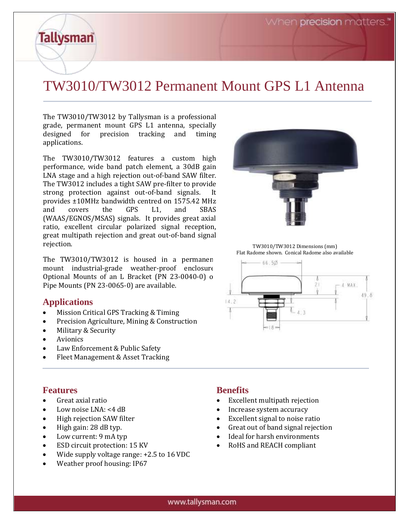When **precision** matters."

# TW3010/TW3012 Permanent Mount GPS L1 Antenna

The TW3010/TW3012 by Tallysman is a professional grade, permanent mount GPS L1 antenna, specially designed for precision tracking and timing applications.

The TW3010/TW3012 features a custom high performance, wide band patch element, a 30dB gain LNA stage and a high rejection out-of-band SAW filter. The TW3012 includes a tight SAW pre-filter to provide strong protection against out-of-band signals. It provides ±10MHz bandwidth centred on 1575.42 MHz and covers the GPS L1, and SBAS (WAAS/EGNOS/MSAS) signals. It provides great axial ratio, excellent circular polarized signal reception, great multipath rejection and great out-of-band signal rejection.

The TW3010/TW3012 is housed in a permanen mount industrial-grade weather-proof enclosure. Optional Mounts of an L Bracket (PN 23-0040-0) or Pipe Mounts (PN 23-0065-0) are available.

#### **Applications**

**Tallysman** 

- Mission Critical GPS Tracking & Timing
- Precision Agriculture, Mining & Construction
- Military & Security
- Avionics
- Law Enforcement & Public Safety
- Fleet Management & Asset Tracking

#### **Features**

- Great axial ratio
- Low noise LNA: <4 dB
- High rejection SAW filter
- High gain: 28 dB typ.
- Low current: 9 mA typ
- ESD circuit protection: 15 KV
- Wide supply voltage range: +2.5 to 16 VDC
- Weather proof housing: IP67

## **Benefits**

- Excellent multipath rejection
- Increase system accuracy
- Excellent signal to noise ratio
- Great out of band signal rejection
- Ideal for harsh environments
- RoHS and REACH compliant

TW3010/TW3012 Dimensions (mm) Flat Radome shown. Conical Radome also available